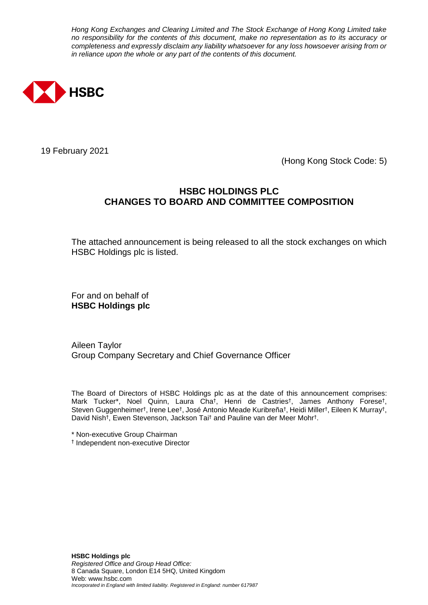*Hong Kong Exchanges and Clearing Limited and The Stock Exchange of Hong Kong Limited take no responsibility for the contents of this document, make no representation as to its accuracy or completeness and expressly disclaim any liability whatsoever for any loss howsoever arising from or in reliance upon the whole or any part of the contents of this document.*



19 February 2021

(Hong Kong Stock Code: 5)

## **HSBC HOLDINGS PLC CHANGES TO BOARD AND COMMITTEE COMPOSITION**

The attached announcement is being released to all the stock exchanges on which HSBC Holdings plc is listed.

For and on behalf of **HSBC Holdings plc**

Aileen Taylor Group Company Secretary and Chief Governance Officer

The Board of Directors of HSBC Holdings plc as at the date of this announcement comprises: Mark Tucker\*, Noel Quinn, Laura Cha† , Henri de Castries† , James Anthony Forese† , Steven Guggenheimer†, Irene Lee‡, José Antonio Meade Kuribreña‡, Heidi Miller†, Eileen K Murray†, David Nish† , Ewen Stevenson, Jackson Tai† and Pauline van der Meer Mohr† .

\* Non-executive Group Chairman

† Independent non-executive Director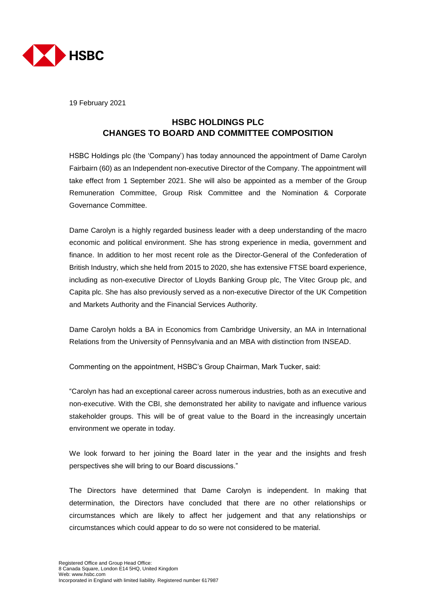

19 February 2021

# **HSBC HOLDINGS PLC CHANGES TO BOARD AND COMMITTEE COMPOSITION**

HSBC Holdings plc (the 'Company') has today announced the appointment of Dame Carolyn Fairbairn (60) as an Independent non-executive Director of the Company. The appointment will take effect from 1 September 2021. She will also be appointed as a member of the Group Remuneration Committee, Group Risk Committee and the Nomination & Corporate Governance Committee.

Dame Carolyn is a highly regarded business leader with a deep understanding of the macro economic and political environment. She has strong experience in media, government and finance. In addition to her most recent role as the Director-General of the Confederation of British Industry, which she held from 2015 to 2020, she has extensive FTSE board experience, including as non-executive Director of Lloyds Banking Group plc, The Vitec Group plc, and Capita plc. She has also previously served as a non-executive Director of the UK Competition and Markets Authority and the Financial Services Authority.

Dame Carolyn holds a BA in Economics from Cambridge University, an MA in International Relations from the University of Pennsylvania and an MBA with distinction from INSEAD.

Commenting on the appointment, HSBC's Group Chairman, Mark Tucker, said:

"Carolyn has had an exceptional career across numerous industries, both as an executive and non-executive. With the CBI, she demonstrated her ability to navigate and influence various stakeholder groups. This will be of great value to the Board in the increasingly uncertain environment we operate in today.

We look forward to her joining the Board later in the year and the insights and fresh perspectives she will bring to our Board discussions."

The Directors have determined that Dame Carolyn is independent. In making that determination, the Directors have concluded that there are no other relationships or circumstances which are likely to affect her judgement and that any relationships or circumstances which could appear to do so were not considered to be material.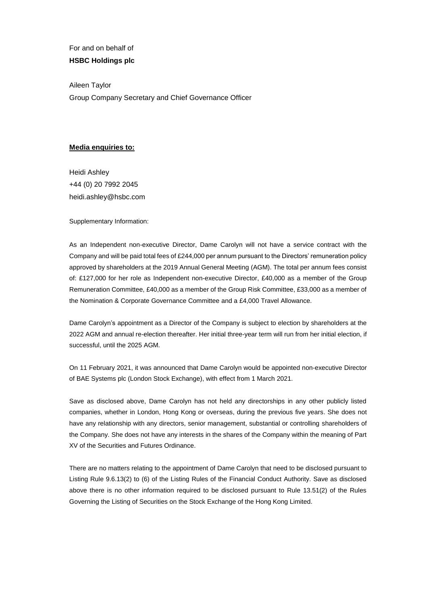For and on behalf of **HSBC Holdings plc**

Aileen Taylor Group Company Secretary and Chief Governance Officer

## **Media enquiries to:**

Heidi Ashley +44 (0) 20 7992 2045 heidi.ashley@hsbc.com

Supplementary Information:

As an Independent non-executive Director, Dame Carolyn will not have a service contract with the Company and will be paid total fees of £244,000 per annum pursuant to the Directors' remuneration policy approved by shareholders at the 2019 Annual General Meeting (AGM). The total per annum fees consist of: £127,000 for her role as Independent non-executive Director, £40,000 as a member of the Group Remuneration Committee, £40,000 as a member of the Group Risk Committee, £33,000 as a member of the Nomination & Corporate Governance Committee and a £4,000 Travel Allowance.

Dame Carolyn's appointment as a Director of the Company is subject to election by shareholders at the 2022 AGM and annual re-election thereafter. Her initial three-year term will run from her initial election, if successful, until the 2025 AGM.

On 11 February 2021, it was announced that Dame Carolyn would be appointed non-executive Director of BAE Systems plc (London Stock Exchange), with effect from 1 March 2021.

Save as disclosed above, Dame Carolyn has not held any directorships in any other publicly listed companies, whether in London, Hong Kong or overseas, during the previous five years. She does not have any relationship with any directors, senior management, substantial or controlling shareholders of the Company. She does not have any interests in the shares of the Company within the meaning of Part XV of the Securities and Futures Ordinance.

There are no matters relating to the appointment of Dame Carolyn that need to be disclosed pursuant to Listing Rule 9.6.13(2) to (6) of the Listing Rules of the Financial Conduct Authority. Save as disclosed above there is no other information required to be disclosed pursuant to Rule 13.51(2) of the Rules Governing the Listing of Securities on the Stock Exchange of the Hong Kong Limited.